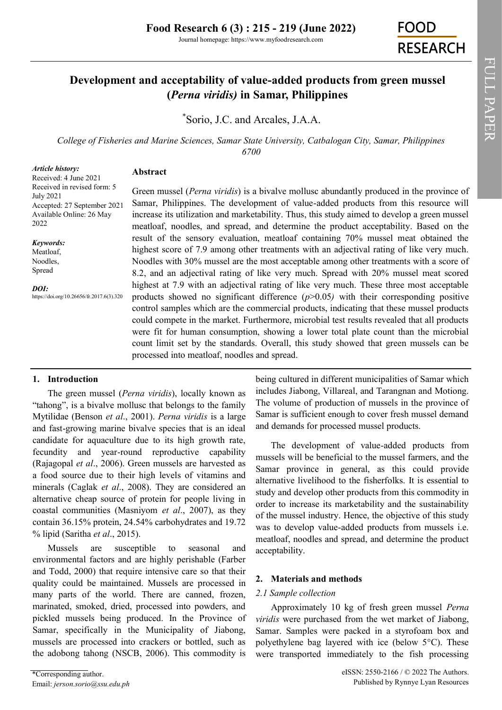Journal homepage: https://www.myfoodresearch.com

**FOOD RESEARCH** 

# **Development and acceptability of value-added products from green mussel (***Perna viridis)* **in Samar, Philippines**

\* [Sorio, J.C. a](https://orcid.org/0000-0002-8625-3433)nd [Arcales, J.A.A.](https://orcid.org/0000-0002-0630-3040)

*College of Fisheries and Marine Sciences, Samar State University, Catbalogan City, Samar, Philippines 6700* 

*Article history:*

#### **Abstract**

Received: 4 June 2021 Received in revised form: 5 July 2021 Accepted: 27 September 2021 Available Online: 26 May 2022

*Keywords:* Meatloaf, Noodles,

Spread

*DOI:* https://doi.org/10.26656/fr.2017.6(3).320

Green mussel (*Perna viridis*) is a bivalve mollusc abundantly produced in the province of Samar, Philippines. The development of value-added products from this resource will increase its utilization and marketability. Thus, this study aimed to develop a green mussel meatloaf, noodles, and spread, and determine the product acceptability. Based on the result of the sensory evaluation, meatloaf containing 70% mussel meat obtained the highest score of 7.9 among other treatments with an adjectival rating of like very much. Noodles with 30% mussel are the most acceptable among other treatments with a score of 8.2, and an adjectival rating of like very much. Spread with 20% mussel meat scored highest at 7.9 with an adjectival rating of like very much. These three most acceptable products showed no significant difference (*p*>0.05*)* with their corresponding positive control samples which are the commercial products, indicating that these mussel products could compete in the market. Furthermore, microbial test results revealed that all products were fit for human consumption, showing a lower total plate count than the microbial count limit set by the standards. Overall, this study showed that green mussels can be processed into meatloaf, noodles and spread.

### **1. Introduction**

The green mussel (*Perna viridis*), locally known as "tahong", is a bivalve mollusc that belongs to the family Mytilidae (Benson *et al*., 2001). *Perna viridis* is a large and fast-growing marine bivalve species that is an ideal candidate for aquaculture due to its high growth rate, fecundity and year-round reproductive capability (Rajagopal *et al*., 2006). Green mussels are harvested as a food source due to their high levels of vitamins and minerals (Caglak *et al*., 2008). They are considered an alternative cheap source of protein for people living in coastal communities (Masniyom *et al*., 2007), as they contain 36.15% protein, 24.54% carbohydrates and 19.72 % lipid (Saritha *et al*., 2015).

Mussels are susceptible to seasonal and environmental factors and are highly perishable (Farber and Todd, 2000) that require intensive care so that their quality could be maintained. Mussels are processed in many parts of the world. There are canned, frozen, marinated, smoked, dried, processed into powders, and pickled mussels being produced. In the Province of Samar, specifically in the Municipality of Jiabong, mussels are processed into crackers or bottled, such as the adobong tahong (NSCB, 2006). This commodity is

being cultured in different municipalities of Samar which includes Jiabong, Villareal, and Tarangnan and Motiong. The volume of production of mussels in the province of Samar is sufficient enough to cover fresh mussel demand and demands for processed mussel products.

The development of value-added products from mussels will be beneficial to the mussel farmers, and the Samar province in general, as this could provide alternative livelihood to the fisherfolks. It is essential to study and develop other products from this commodity in order to increase its marketability and the sustainability of the mussel industry. Hence, the objective of this study was to develop value-added products from mussels i.e. meatloaf, noodles and spread, and determine the product acceptability.

### **2. Materials and methods**

#### *2.1 Sample collection*

Approximately 10 kg of fresh green mussel *Perna viridis* were purchased from the wet market of Jiabong, Samar. Samples were packed in a styrofoam box and polyethylene bag layered with ice (below 5°C). These were transported immediately to the fish processing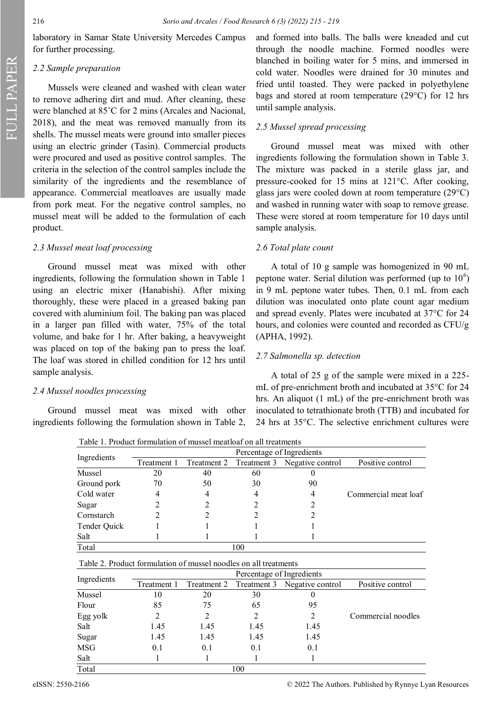FULL PAPER

laboratory in Samar State University Mercedes Campus for further processing.

### *2.2 Sample preparation*

Mussels were cleaned and washed with clean water to remove adhering dirt and mud. After cleaning, these were blanched at 85˚C for 2 mins (Arcales and Nacional, 2018), and the meat was removed manually from its shells. The mussel meats were ground into smaller pieces using an electric grinder (Tasin). Commercial products were procured and used as positive control samples. The criteria in the selection of the control samples include the similarity of the ingredients and the resemblance of appearance. Commercial meatloaves are usually made from pork meat. For the negative control samples, no mussel meat will be added to the formulation of each product.

## *2.3 Mussel meat loaf processing*

Ground mussel meat was mixed with other ingredients, following the formulation shown in Table 1 using an electric mixer (Hanabishi). After mixing thoroughly, these were placed in a greased baking pan covered with aluminium foil. The baking pan was placed in a larger pan filled with water, 75% of the total volume, and bake for 1 hr. After baking, a heavyweight was placed on top of the baking pan to press the loaf. The loaf was stored in chilled condition for 12 hrs until sample analysis.

### *2.4 Mussel noodles processing*

Ground mussel meat was mixed with other ingredients following the formulation shown in Table 2, and formed into balls. The balls were kneaded and cut through the noodle machine. Formed noodles were blanched in boiling water for 5 mins, and immersed in cold water. Noodles were drained for 30 minutes and fried until toasted. They were packed in polyethylene bags and stored at room temperature (29°C) for 12 hrs until sample analysis.

## *2.5 Mussel spread processing*

Ground mussel meat was mixed with other ingredients following the formulation shown in Table 3. The mixture was packed in a sterile glass jar, and pressure-cooked for 15 mins at 121°C. After cooking, glass jars were cooled down at room temperature (29°C) and washed in running water with soap to remove grease. These were stored at room temperature for 10 days until sample analysis.

## *2.6 Total plate count*

A total of 10 g sample was homogenized in 90 mL peptone water. Serial dilution was performed (up to  $10^6$ ) in 9 mL peptone water tubes. Then, 0.1 mL from each dilution was inoculated onto plate count agar medium and spread evenly. Plates were incubated at 37°C for 24 hours, and colonies were counted and recorded as CFU/g (APHA, 1992).

# *2.7 Salmonella sp. detection*

A total of 25 g of the sample were mixed in a 225 mL of pre-enrichment broth and incubated at 35°C for 24 hrs. An aliquot (1 mL) of the pre-enrichment broth was inoculated to tetrathionate broth (TTB) and incubated for 24 hrs at 35°C. The selective enrichment cultures were

Table 1. Product formulation of mussel meatloaf on all treatments

| Ingredients  | Percentage of Ingredients |    |     |                                          |                      |  |  |
|--------------|---------------------------|----|-----|------------------------------------------|----------------------|--|--|
|              | Treatment 1               |    |     | Treatment 2 Treatment 3 Negative control | Positive control     |  |  |
| Mussel       | 20                        | 40 | 60  |                                          |                      |  |  |
| Ground pork  | 70                        | 50 | 30  | 90                                       |                      |  |  |
| Cold water   |                           |    |     | 4                                        | Commercial meat loaf |  |  |
| Sugar        |                           |    |     |                                          |                      |  |  |
| Cornstarch   |                           |    |     |                                          |                      |  |  |
| Tender Quick |                           |    |     |                                          |                      |  |  |
| Salt         |                           |    |     |                                          |                      |  |  |
| Total        |                           |    | 100 |                                          |                      |  |  |

| Table 2. Product formulation of mussel noodles on all treatments |                           |      |      |                                          |                    |  |  |
|------------------------------------------------------------------|---------------------------|------|------|------------------------------------------|--------------------|--|--|
|                                                                  | Percentage of Ingredients |      |      |                                          |                    |  |  |
| Ingredients                                                      | Treatment 1               |      |      | Treatment 2 Treatment 3 Negative control | Positive control   |  |  |
| Mussel                                                           | 10                        | 20   | 30   | $\theta$                                 |                    |  |  |
| Flour                                                            | 85                        | 75   | 65   | 95                                       |                    |  |  |
| Egg yolk                                                         |                           |      | 2    | 2                                        | Commercial noodles |  |  |
| Salt                                                             | 1.45                      | 1.45 | 1.45 | 1.45                                     |                    |  |  |
| Sugar                                                            | 1.45                      | 1.45 | 1.45 | 1.45                                     |                    |  |  |
| <b>MSG</b>                                                       | 0.1                       | 0.1  | 0.1  | 0.1                                      |                    |  |  |
| Salt                                                             |                           |      |      |                                          |                    |  |  |
| Total                                                            |                           |      | 100  |                                          |                    |  |  |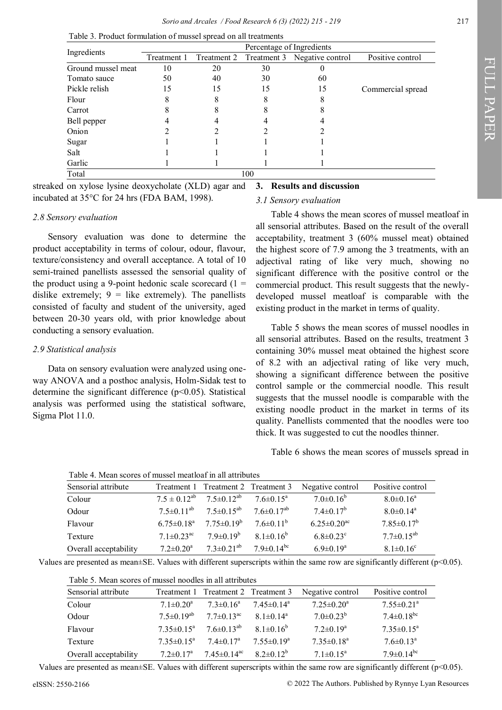|                    | Percentage of Ingredients |    |     |                                          |                   |
|--------------------|---------------------------|----|-----|------------------------------------------|-------------------|
| Ingredients        | Treatment 1               |    |     | Treatment 2 Treatment 3 Negative control | Positive control  |
| Ground mussel meat | 10                        | 20 | 30  |                                          |                   |
| Tomato sauce       | 50                        | 40 | 30  | 60                                       |                   |
| Pickle relish      | 15                        | 15 | 15  | 15                                       | Commercial spread |
| Flour              |                           |    |     | ◠                                        |                   |
| Carrot             |                           |    |     |                                          |                   |
| Bell pepper        |                           |    |     |                                          |                   |
| Onion              |                           |    |     |                                          |                   |
| Sugar              |                           |    |     |                                          |                   |
| Salt               |                           |    |     |                                          |                   |
| Garlic             |                           |    |     |                                          |                   |
| Total              |                           |    | 100 |                                          |                   |

Table 3. Product formulation of mussel spread on all treatments

streaked on xylose lysine deoxycholate (XLD) agar and incubated at 35°C for 24 hrs (FDA BAM, 1998).

#### *2.8 Sensory evaluation*

Sensory evaluation was done to determine the product acceptability in terms of colour, odour, flavour, texture/consistency and overall acceptance. A total of 10 semi-trained panellists assessed the sensorial quality of the product using a 9-point hedonic scale scorecard  $(1 =$ dislike extremely;  $9 =$  like extremely). The panellists consisted of faculty and student of the university, aged between 20-30 years old, with prior knowledge about conducting a sensory evaluation.

### *2.9 Statistical analysis*

Data on sensory evaluation were analyzed using oneway ANOVA and a posthoc analysis, Holm-Sidak test to determine the significant difference ( $p$ <0.05). Statistical analysis was performed using the statistical software, Sigma Plot 11.0.

### **3. Results and discussion**

#### *3.1 Sensory evaluation*

Table 4 shows the mean scores of mussel meatloaf in all sensorial attributes. Based on the result of the overall acceptability, treatment 3 (60% mussel meat) obtained the highest score of 7.9 among the 3 treatments, with an adjectival rating of like very much, showing no significant difference with the positive control or the commercial product. This result suggests that the newlydeveloped mussel meatloaf is comparable with the existing product in the market in terms of quality.

Table 5 shows the mean scores of mussel noodles in all sensorial attributes. Based on the results, treatment 3 containing 30% mussel meat obtained the highest score of 8.2 with an adjectival rating of like very much, showing a significant difference between the positive control sample or the commercial noodle. This result suggests that the mussel noodle is comparable with the existing noodle product in the market in terms of its quality. Panellists commented that the noodles were too thick. It was suggested to cut the noodles thinner.

Table 6 shows the mean scores of mussels spread in

| Table 4. Mean scores of mussel meatloaf in all attributes |                                         |                     |                                     |                               |                             |  |
|-----------------------------------------------------------|-----------------------------------------|---------------------|-------------------------------------|-------------------------------|-----------------------------|--|
| Sensorial attribute                                       |                                         |                     | Treatment 1 Treatment 2 Treatment 3 | Negative control              | Positive control            |  |
| Colour                                                    | $7.5 \pm 0.12^{ab}$ $7.5 \pm 0.12^{ab}$ |                     | $7.6 \pm 0.15^a$                    | $7.0 \pm 0.16^b$              | $8.0 \pm 0.16^a$            |  |
| Odour                                                     | $7.5 \pm 0.11^{ab}$                     | $7.5 \pm 0.15^{ab}$ | $7.6 \pm 0.17^{ab}$                 | $7.4 \pm 0.17^b$              | $8.0 \pm 0.14$ <sup>a</sup> |  |
| Flavour                                                   | $6.75 \pm 0.18$ <sup>a</sup>            | $7.75 \pm 0.19^b$   | $7.6 \pm 0.11^{\rm b}$              | $6.25 \pm 0.20$ <sup>ac</sup> | $7.85 \pm 0.17^b$           |  |
| Texture                                                   | $7.1 \pm 0.23$ <sup>ac</sup>            | $7.9 \pm 0.19^b$    | $8.1 \pm 0.16^b$                    | $6.8 \pm 0.23$ <sup>c</sup>   | $7.7 \pm 0.15^{ab}$         |  |
| Overall acceptability                                     | $7.2 \pm 0.20^a$                        | $7.3 \pm 0.21^{ab}$ | $7.9 \pm 0.14$ <sup>bc</sup>        | $6.9 \pm 0.19^a$              | $8.1 \pm 0.16$ <sup>c</sup> |  |

Values are presented as mean±SE. Values with different superscripts within the same row are significantly different (p<0.05).

| Table 5. Mean scores of mussel noodles in all attributes |                             |                                     |                              |                   |                              |  |
|----------------------------------------------------------|-----------------------------|-------------------------------------|------------------------------|-------------------|------------------------------|--|
| Sensorial attribute                                      |                             | Treatment 1 Treatment 2 Treatment 3 |                              | Negative control  | Positive control             |  |
| Colour                                                   | $7.1 \pm 0.20^a$            | $7.3 \pm 0.16^a$                    | $7.45 \pm 0.14$ <sup>a</sup> | $7.25 \pm 0.20^a$ | $7.55 \pm 0.21$ <sup>a</sup> |  |
| Odour                                                    | $7.5 \pm 0.19^{ab}$         | $7.7 \pm 0.13$ <sup>ac</sup>        | $8.1 \pm 0.14^a$             | $7.0 \pm 0.23^b$  | $7.4 \pm 0.18$ <sup>bc</sup> |  |
| Flavour                                                  | $7.35 \pm 0.15^{\circ}$     | $7.6 \pm 0.13^{ab}$                 | $8.1 \pm 0.16^b$             | $7.2 \pm 0.19^a$  | $7.35 \pm 0.15^a$            |  |
| Texture                                                  | $7.35 \pm 0.15^{\circ}$     | $7.4 \pm 0.17$ <sup>a</sup>         | $7.55 \pm 0.19^a$            | $7.35 \pm 0.18^a$ | $7.6 \pm 0.13^{\text{a}}$    |  |
| Overall acceptability                                    | $7.2 \pm 0.17$ <sup>a</sup> | $7.45 \pm 0.14$ <sup>ac</sup>       | $8.2 \pm 0.12^b$             | $7.1 \pm 0.15^a$  | $7.9 \pm 0.14^{\rm bc}$      |  |

Values are presented as mean±SE. Values with different superscripts within the same row are significantly different (p<0.05).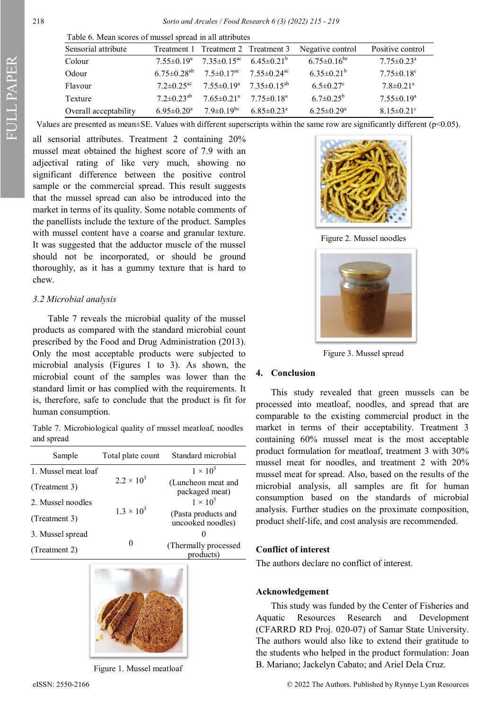| Sensorial attribute   |                              | Treatment 1 Treatment 2 Treatment 3                                               | Negative control              | Positive control             |
|-----------------------|------------------------------|-----------------------------------------------------------------------------------|-------------------------------|------------------------------|
| Colour                |                              | 7.55±0.19 <sup>a</sup> 7.35±0.15 <sup>ac</sup> 6.45±0.21 <sup>b</sup>             | $6.75 \pm 0.16$ <sup>bc</sup> | $7.75 \pm 0.23$ <sup>a</sup> |
| Odour                 |                              | $6.75 \pm 0.28^{ab}$ $7.5 \pm 0.17^{ac}$ $7.55 \pm 0.24^{ac}$                     | $6.35 \pm 0.21^b$             | $7.75 \pm 0.18$ <sup>c</sup> |
| Flavour               |                              | $7.2 \pm 0.25^{\text{ac}}$ $7.55 \pm 0.19^{\text{a}}$ $7.35 \pm 0.15^{\text{ab}}$ | $6.5 \pm 0.27$ °              | $7.8 \pm 0.21$ <sup>a</sup>  |
| Texture               | $7.2 \pm 0.23^{ab}$          | $7.65 \pm 0.21^{\text{a}}$ $7.75 \pm 0.18^{\text{a}}$                             | $6.7 \pm 0.25^{\rm b}$        | $7.55 \pm 0.19^a$            |
| Overall acceptability | $6.95 \pm 0.20$ <sup>a</sup> | $7.9 \pm 0.19^{bc}$ 6.85 $\pm 0.23^{a}$                                           | $6.25 \pm 0.29$ <sup>a</sup>  | $8.15 \pm 0.21$ <sup>c</sup> |

| Table 6. Mean scores of mussel spread in all attributes |  |
|---------------------------------------------------------|--|
|                                                         |  |

Values are presented as mean±SE. Values with different superscripts within the same row are significantly different ( $p<0.05$ ).

all sensorial attributes. Treatment 2 containing 20% mussel meat obtained the highest score of 7.9 with an adjectival rating of like very much, showing no significant difference between the positive control sample or the commercial spread. This result suggests that the mussel spread can also be introduced into the market in terms of its quality. Some notable comments of the panellists include the texture of the product. Samples with mussel content have a coarse and granular texture. It was suggested that the adductor muscle of the mussel should not be incorporated, or should be ground thoroughly, as it has a gummy texture that is hard to chew.

# *3.2 Microbial analysis*

Table 7 reveals the microbial quality of the mussel products as compared with the standard microbial count prescribed by the Food and Drug Administration (2013). Only the most acceptable products were subjected to microbial analysis (Figures 1 to 3). As shown, the microbial count of the samples was lower than the standard limit or has complied with the requirements. It is, therefore, safe to conclude that the product is fit for human consumption.

Table 7. Microbiological quality of mussel meatloaf, noodles and spread

| Sample              | Total plate count   | Standard microbial                                      |  |
|---------------------|---------------------|---------------------------------------------------------|--|
| 1. Mussel meat loaf |                     | $1 \times 10^5$                                         |  |
| (Treatment 3)       | $2.2 \times 10^{3}$ | (Luncheon meat and<br>packaged meat)<br>$1 \times 10^5$ |  |
| 2. Mussel noodles   |                     |                                                         |  |
| (Treatment 3)       | $1.3 \times 10^{3}$ | (Pasta products and<br>uncooked noodles)                |  |
| 3. Mussel spread    |                     |                                                         |  |
| (Treatment 2)       |                     | (Thermally processed<br>products)                       |  |



Figure 1. Mussel meatloaf



Figure 2. Mussel noodles



Figure 3. Mussel spread

# **4. Conclusion**

This study revealed that green mussels can be processed into meatloaf, noodles, and spread that are comparable to the existing commercial product in the market in terms of their acceptability. Treatment 3 containing 60% mussel meat is the most acceptable product formulation for meatloaf, treatment 3 with 30% mussel meat for noodles, and treatment 2 with 20% mussel meat for spread. Also, based on the results of the microbial analysis, all samples are fit for human consumption based on the standards of microbial analysis. Further studies on the proximate composition, product shelf-life, and cost analysis are recommended.

# **Conflict of interest**

The authors declare no conflict of interest.

### **Acknowledgement**

This study was funded by the Center of Fisheries and Aquatic Resources Research and Development (CFARRD RD Proj. 020-07) of Samar State University. The authors would also like to extend their gratitude to the students who helped in the product formulation: Joan B. Mariano; Jackelyn Cabato; and Ariel Dela Cruz.